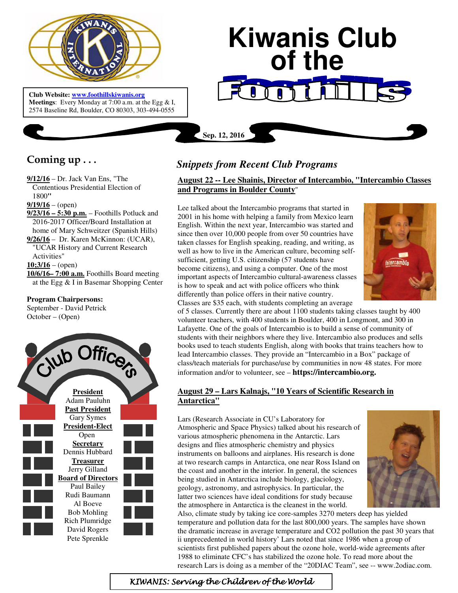

 **Meetings**: Every Monday at 7:00 a.m. at the Egg & I, **Club Website: www.foothillskiwanis.org** 2574 Baseline Rd, Boulder, CO 80303, 303-494-0555

# **Kiwanis Club of the**

**Coming up . . .** 

- **9/12/16** Dr. Jack Van Ens, "The Contentious Presidential Election of 1800**"**
- $9/19/16$  (open)
- **9/23/16 5:30 p.m.** Foothills Potluck and 2016-2017 Officer/Board Installation at home of Mary Schweitzer (Spanish Hills)
- **9/26/16** Dr. Karen McKinnon: (UCAR), "UCAR History and Current Research Activities"

 $10;3/16 - (open)$ 

**10/6/16– 7:00 a.m.** Foothills Board meeting at the Egg & I in Basemar Shopping Center

### **Program Chairpersons:**

September - David Petrick October – (Open)



# *Snippets from Recent Club Programs*

**Sep. 12, 2016**

# **August 22 -- Lee Shainis, Director of Intercambio, "Intercambio Classes and Programs in Boulder County**"

Lee talked about the Intercambio programs that started in 2001 in his home with helping a family from Mexico learn English. Within the next year, Intercambio was started and since then over 10,000 people from over 50 countries have taken classes for English speaking, reading, and writing, as well as how to live in the American culture, becoming selfsufficient, getting U.S. citizenship (57 students have become citizens), and using a computer. One of the most important aspects of Intercambio cultural-awareness classes is how to speak and act with police officers who think differently than police offers in their native country. Classes are \$35 each, with students completing an average



of 5 classes. Currently there are about 1100 students taking classes taught by 400 volunteer teachers, with 400 students in Boulder, 400 in Longmont, and 300 in Lafayette. One of the goals of Intercambio is to build a sense of community of students with their neighbors where they live. Intercambio also produces and sells books used to teach students English, along with books that trains teachers how to lead Intercambio classes. They provide an "Intercambio in a Box" package of class/teach materials for purchase/use by communities in now 48 states. For more information and/or to volunteer, see – **https://intercambio.org.**

# **August 29 – Lars Kalnajs, "10 Years of Scientific Research in Antarctica"**

Lars (Research Associate in CU's Laboratory for Atmospheric and Space Physics) talked about his research of various atmospheric phenomena in the Antarctic. Lars designs and flies atmospheric chemistry and physics instruments on balloons and airplanes. His research is done at two research camps in Antarctica, one near Ross Island on the coast and another in the interior. In general, the sciences being studied in Antarctica include biology, glaciology, geology, astronomy, and astrophysics. In particular, the latter two sciences have ideal conditions for study because the atmosphere in Antarctica is the cleanest in the world.



Also, climate study by taking ice core-samples 3270 meters deep has yielded temperature and pollution data for the last 800,000 years. The samples have shown the dramatic increase in average temperature and CO2 pollution the past 30 years that ii unprecedented in world history' Lars noted that since 1986 when a group of scientists first published papers about the ozone hole, world-wide agreements after 1988 to eliminate CFC's has stabilized the ozone hole. To read more about the research Lars is doing as a member of the "20DIAC Team", see -- www.2odiac.com.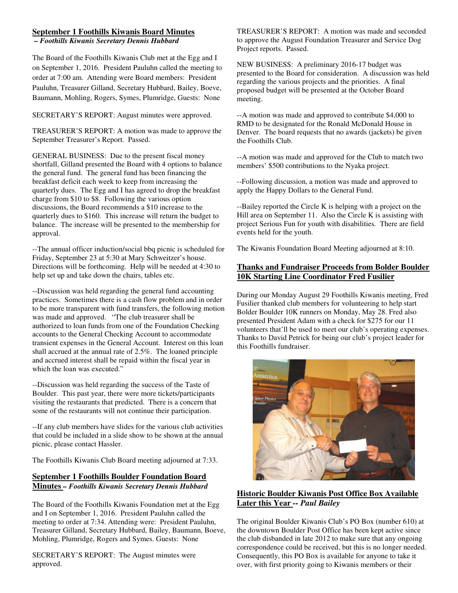#### **September 1 Foothills Kiwanis Board Minutes**

*– Foothills Kiwanis Secretary Dennis Hubbard* 

The Board of the Foothills Kiwanis Club met at the Egg and I on September 1, 2016. President Pauluhn called the meeting to order at 7:00 am. Attending were Board members: President Pauluhn, Treasurer Gilland, Secretary Hubbard, Bailey, Boeve, Baumann, Mohling, Rogers, Symes, Plumridge, Guests: None

SECRETARY'S REPORT: August minutes were approved.

TREASURER'S REPORT: A motion was made to approve the September Treasurer's Report. Passed.

GENERAL BUSINESS: Due to the present fiscal money shortfall, Gilland presented the Board with 4 options to balance the general fund. The general fund has been financing the breakfast deficit each week to keep from increasing the quarterly dues. The Egg and I has agreed to drop the breakfast charge from \$10 to \$8. Following the various option discussions, the Board recommends a \$10 increase to the quarterly dues to \$160. This increase will return the budget to balance. The increase will be presented to the membership for approval.

--The annual officer induction/social bbq picnic is scheduled for Friday, September 23 at 5:30 at Mary Schweitzer's house. Directions will be forthcoming. Help will be needed at 4:30 to help set up and take down the chairs, tables etc.

--Discussion was held regarding the general fund accounting practices. Sometimes there is a cash flow problem and in order to be more transparent with fund transfers, the following motion was made and approved. "The club treasurer shall be authorized to loan funds from one of the Foundation Checking accounts to the General Checking Account to accommodate transient expenses in the General Account. Interest on this loan shall accrued at the annual rate of 2.5%. The loaned principle and accrued interest shall be repaid within the fiscal year in which the loan was executed."

--Discussion was held regarding the success of the Taste of Boulder. This past year, there were more tickets/participants visiting the restaurants that predicted. There is a concern that some of the restaurants will not continue their participation.

--If any club members have slides for the various club activities that could be included in a slide show to be shown at the annual picnic, please contact Hassler.

The Foothills Kiwanis Club Board meeting adjourned at 7:33.

#### **September 1 Foothills Boulder Foundation Board Minutes** *– Foothills Kiwanis Secretary Dennis Hubbard*

The Board of the Foothills Kiwanis Foundation met at the Egg and I on September 1, 2016. President Pauluhn called the meeting to order at 7:34. Attending were: President Pauluhn, Treasurer Gilland, Secretary Hubbard, Bailey, Baumann, Boeve, Mohling, Plumridge, Rogers and Symes. Guests: None

SECRETARY'S REPORT: The August minutes were approved.

TREASURER'S REPORT: A motion was made and seconded to approve the August Foundation Treasurer and Service Dog Project reports. Passed.

NEW BUSINESS: A preliminary 2016-17 budget was presented to the Board for consideration. A discussion was held regarding the various projects and the priorities. A final proposed budget will be presented at the October Board meeting.

--A motion was made and approved to contribute \$4,000 to RMD to be designated for the Ronald McDonald House in Denver. The board requests that no awards (jackets) be given the Foothills Club.

--A motion was made and approved for the Club to match two members' \$500 contributions to the Nyaka project.

--Following discussion, a motion was made and approved to apply the Happy Dollars to the General Fund.

--Bailey reported the Circle K is helping with a project on the Hill area on September 11. Also the Circle K is assisting with project Serious Fun for youth with disabilities. There are field events held for the youth.

The Kiwanis Foundation Board Meeting adjourned at 8:10.

## **Thanks and Fundraiser Proceeds from Bolder Boulder 10K Starting Line Coordinator Fred Fusilier**

During our Monday August 29 Foothills Kiwanis meeting, Fred Fusilier thanked club members for volunteering to help start Bolder Boulder 10K runners on Monday, May 28. Fred also presented President Adam with a check for \$275 for our 11 volunteers that'll be used to meet our club's operating expenses. Thanks to David Petrick for being our club's project leader for this Foothills fundraiser.



#### **Historic Boulder Kiwanis Post Office Box Available Later this Year** *-- Paul Bailey*

The original Boulder Kiwanis Club's PO Box (number 610) at the downtown Boulder Post Office has been kept active since the club disbanded in late 2012 to make sure that any ongoing correspondence could be received, but this is no longer needed. Consequently, this PO Box is available for anyone to take it over, with first priority going to Kiwanis members or their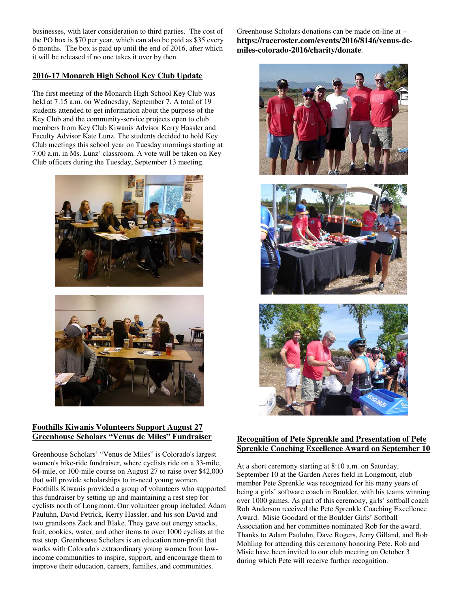businesses, with later consideration to third parties. The cost of the PO box is \$70 per year, which can also be paid as \$35 every 6 months. The box is paid up until the end of 2016, after which it will be released if no one takes it over by then.

### **2016-17 Monarch High School Key Club Update**

The first meeting of the Monarch High School Key Club was held at 7:15 a.m. on Wednesday, September 7. A total of 19 students attended to get information about the purpose of the Key Club and the community-service projects open to club members from Key Club Kiwanis Advisor Kerry Hassler and Faculty Advisor Kate Lunz. The students decided to hold Key Club meetings this school year on Tuesday mornings starting at 7:00 a.m. in Ms. Lunz' classroom. A vote will be taken on Key Club officers during the Tuesday, September 13 meeting.





#### **Foothills Kiwanis Volunteers Support August 27 Greenhouse Scholars "Venus de Miles" Fundraiser**

Greenhouse Scholars' "Venus de Miles" is Colorado's largest women's bike-ride fundraiser, where cyclists ride on a 33-mile, 64-mile, or 100-mile course on August 27 to raise over \$42,000 that will provide scholarships to in-need young women. Foothills Kiwanis provided a group of volunteers who supported this fundraiser by setting up and maintaining a rest step for cyclists north of Longmont. Our volunteer group included Adam Pauluhn, David Petrick, Kerry Hassler, and his son David and two grandsons Zack and Blake. They gave out energy snacks, fruit, cookies, water, and other items to over 1000 cyclists at the rest stop. Greenhouse Scholars is an education non-profit that works with Colorado's extraordinary young women from lowincome communities to inspire, support, and encourage them to improve their education, careers, families, and communities.

Greenhouse Scholars donations can be made on-line at - **https://raceroster.com/events/2016/8146/venus-demiles-colorado-2016/charity/donate**.





# **Recognition of Pete Sprenkle and Presentation of Pete Sprenkle Coaching Excellence Award on September 10**

At a short ceremony starting at 8:10 a.m. on Saturday, September 10 at the Garden Acres field in Longmont, club member Pete Sprenkle was recognized for his many years of being a girls' software coach in Boulder, with his teams winning over 1000 games. As part of this ceremony, girls' softball coach Rob Anderson received the Pete Sprenkle Coaching Excellence Award. Misie Goodard of the Boulder Girls' Softball Association and her committee nominated Rob for the award. Thanks to Adam Pauluhn, Dave Rogers, Jerry Gilland, and Bob Mohling for attending this ceremony honoring Pete. Rob and Misie have been invited to our club meeting on October 3 during which Pete will receive further recognition.